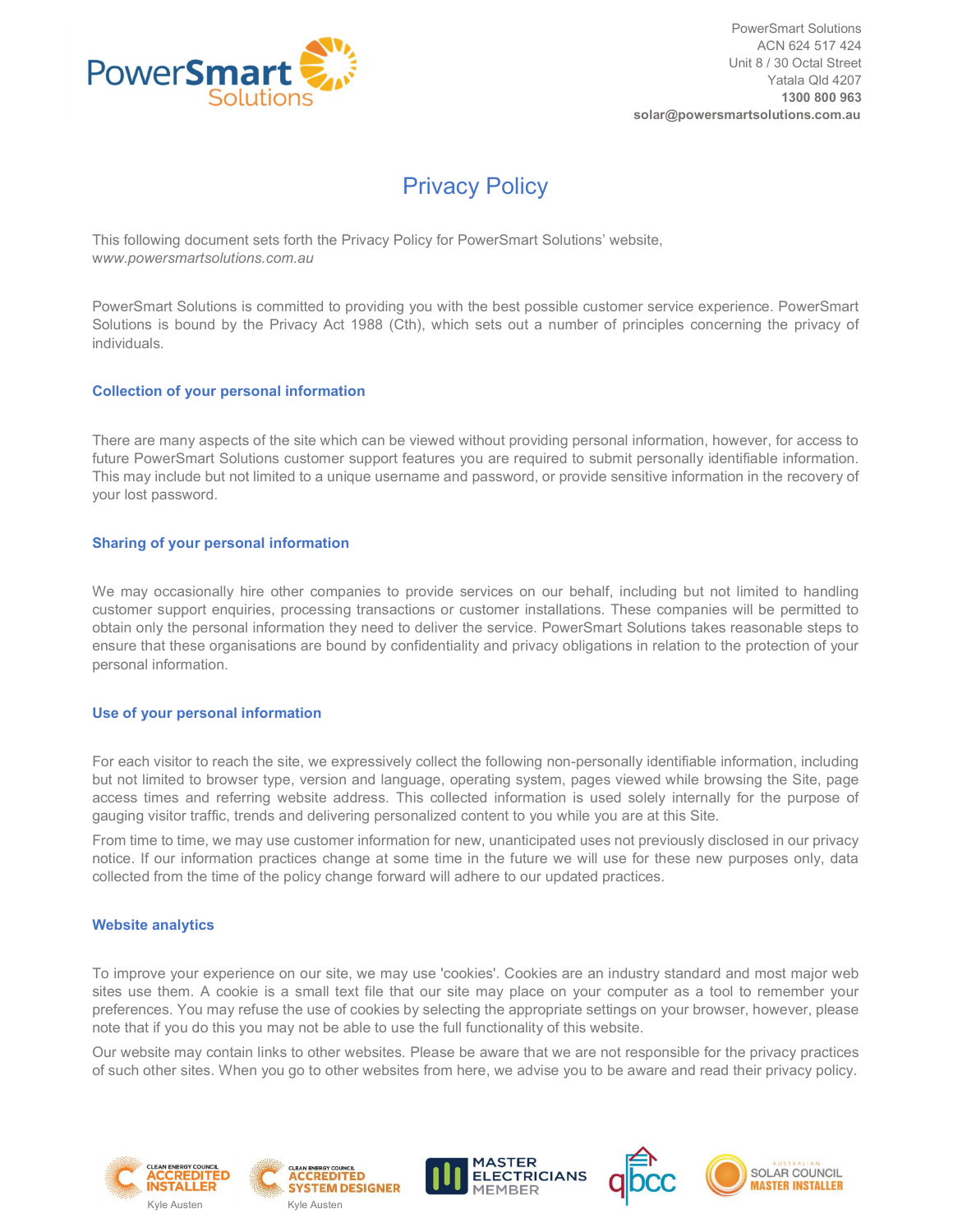

# Privacy Policy

This following document sets forth the Privacy Policy for PowerSmart Solutions' website, www.powersmartsolutions.com.au

PowerSmart Solutions is committed to providing you with the best possible customer service experience. PowerSmart Solutions is bound by the Privacy Act 1988 (Cth), which sets out a number of principles concerning the privacy of individuals.

### Collection of your personal information

There are many aspects of the site which can be viewed without providing personal information, however, for access to future PowerSmart Solutions customer support features you are required to submit personally identifiable information. This may include but not limited to a unique username and password, or provide sensitive information in the recovery of your lost password.

## Sharing of your personal information

We may occasionally hire other companies to provide services on our behalf, including but not limited to handling customer support enquiries, processing transactions or customer installations. These companies will be permitted to obtain only the personal information they need to deliver the service. PowerSmart Solutions takes reasonable steps to ensure that these organisations are bound by confidentiality and privacy obligations in relation to the protection of your personal information.

#### Use of your personal information

For each visitor to reach the site, we expressively collect the following non-personally identifiable information, including but not limited to browser type, version and language, operating system, pages viewed while browsing the Site, page access times and referring website address. This collected information is used solely internally for the purpose of gauging visitor traffic, trends and delivering personalized content to you while you are at this Site.

From time to time, we may use customer information for new, unanticipated uses not previously disclosed in our privacy notice. If our information practices change at some time in the future we will use for these new purposes only, data collected from the time of the policy change forward will adhere to our updated practices.

#### Website analytics

To improve your experience on our site, we may use 'cookies'. Cookies are an industry standard and most major web sites use them. A cookie is a small text file that our site may place on your computer as a tool to remember your preferences. You may refuse the use of cookies by selecting the appropriate settings on your browser, however, please note that if you do this you may not be able to use the full functionality of this website.

Our website may contain links to other websites. Please be aware that we are not responsible for the privacy practices of such other sites. When you go to other websites from here, we advise you to be aware and read their privacy policy.